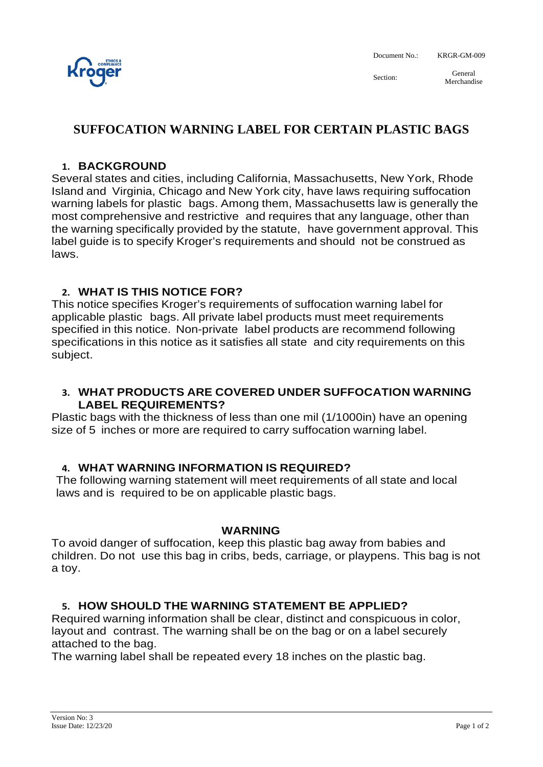

Document No.: KRGR-GM-009

Section: General Merchandise

# **SUFFOCATION WARNING LABEL FOR CERTAIN PLASTIC BAGS**

### **1. BACKGROUND**

Several states and cities, including California, Massachusetts, New York, Rhode Island and Virginia, Chicago and New York city, have laws requiring suffocation warning labels for plastic bags. Among them, Massachusetts law is generally the most comprehensive and restrictive and requires that any language, other than the warning specifically provided by the statute, have government approval. This label guide is to specify Kroger's requirements and should not be construed as laws.

### **2. WHAT IS THIS NOTICE FOR?**

This notice specifies Kroger's requirements of suffocation warning label for applicable plastic bags. All private label products must meet requirements specified in this notice. Non-private label products are recommend following specifications in this notice as it satisfies all state and city requirements on this subject.

#### **3. WHAT PRODUCTS ARE COVERED UNDER SUFFOCATION WARNING LABEL REQUIREMENTS?**

Plastic bags with the thickness of less than one mil (1/1000in) have an opening size of 5 inches or more are required to carry suffocation warning label.

#### **4. WHAT WARNING INFORMATION IS REQUIRED?**

The following warning statement will meet requirements of all state and local laws and is required to be on applicable plastic bags.

#### **WARNING**

To avoid danger of suffocation, keep this plastic bag away from babies and children. Do not use this bag in cribs, beds, carriage, or playpens. This bag is not a toy.

## **5. HOW SHOULD THE WARNING STATEMENT BE APPLIED?**

Required warning information shall be clear, distinct and conspicuous in color, layout and contrast. The warning shall be on the bag or on a label securely attached to the bag.

The warning label shall be repeated every 18 inches on the plastic bag.